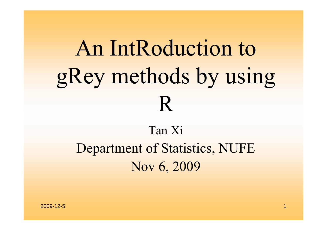# An IntRoduction to gRey methods by using R

### Tan XiDepartment of Statistics, NUFE Nov 6, 2009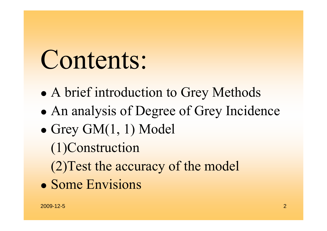# Contents:

- $\bullet$ A brief introduction to Grey Methods
- $\bullet$ An analysis of Degree of Grey Incidence
- $\bullet$  Grey GM(1, 1) Model
	- (1)Construction
	- (2)Test the accuracy of the model
- Some Envisions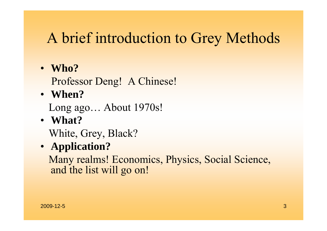### A brief introduction to Grey Methods

• **Who?**

Professor Deng! A Chinese!

• **When?** 

Long ago… About 1970s!

• **What?**

White, Grey, Black?

• **Application?**

Many realms! Economics, Physics, Social Science, and the list will go on!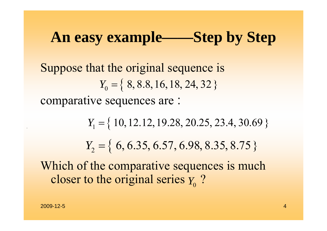### **An easy example——Step by Step**

Suppose that the original sequence is comparative sequences are :  $Y_0 = \{ 8, 8.8, 16, 18, 24, 32 \}$ 

> *Y*<sub>1</sub> = { 10, 12.12, 19.28, 20.25, 23.4, 30.69 } *Y*2 <sup>=</sup> { 6, 6.35, 6.57, 6.98, 8.35, 8.75}

Which of the comparative sequences is much closer to the original series  $Y_0$  ?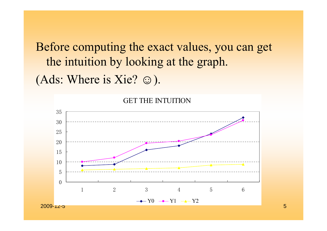Before computing the exact values, you can get the intuition by looking at the graph. (Ads: Where is Xie?  $\odot$ ).



GET THE INTUITION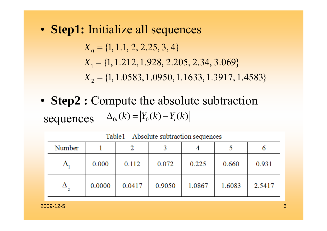• **Step1:** Initialize all sequences

 $X_{0} = \{1, 1.1, 2, 2.25, 3, 4\}$ *X*<sub>1</sub> = {1, 1.212, 1.928, 2.205, 2.34, 3.069} 2{1,1.0583,1.0950,1.1633,1.3917,1.4583} *X* =

• **Step2 :** Compute the absolute subtraction sequences  $\Delta_{0i}(k) = |Y_{0}(k) - Y_{i}(k)|$ 

Number  $\overline{2}$ 5 3 6 1 4  $\Delta_{1}$ 0.000 0.112 0.072 0.225 0.660 0.931  $\Delta$ 0.0000 0.0417 0.9050 1.0867 1.6083 2.5417

Table1 Absolute subtraction sequences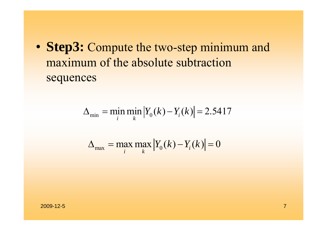• **Step3:** Compute the two-step minimum and maximum of the absolute subtraction sequences

$$
\Delta_{\min} = \min_{i} \min_{k} |Y_0(k) - Y_i(k)| = 2.5417
$$

$$
\Delta_{\max} = \max_{i} \max_{k} |Y_0(k) - Y_i(k)| = 0
$$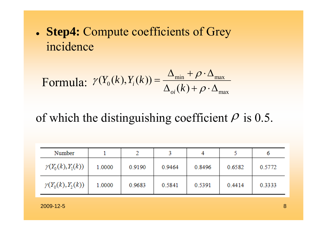**Step4:** Compute coefficients of Grey incidence

Formula: 
$$
\gamma(Y_0(k), Y_i(k)) = \frac{\Delta_{\min} + \rho \cdot \Delta_{\max}}{\Delta_{oi}(k) + \rho \cdot \Delta_{\max}}
$$

#### of which the distinguishing coefficient  $\rho$  is 0.5.

| Number                   |        |        |        |        |        |        |
|--------------------------|--------|--------|--------|--------|--------|--------|
| $\gamma(Y_0(k), Y_1(k))$ | 1.0000 | 0.9190 | 0.9464 | 0.8496 | 0.6582 | 0.5772 |
| $\gamma(Y_0(k), Y_2(k))$ | 1.0000 | 0.9683 | 0.5841 | 0.5391 | 0.4414 | 0.3333 |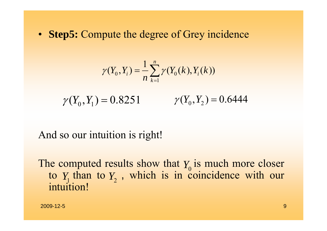• **Step5:** Compute the degree of Grey incidence

$$
\gamma(Y_0, Y_i) = \frac{1}{n} \sum_{k=1}^n \gamma(Y_0(k), Y_i(k))
$$

 $\gamma(Y_0, Y_1) = 0.8251$   $\gamma(Y_0, Y_2) = 0.6444$ 

#### And so our intuition is right!

The computed results show that  $Y_0$  is much more closer to  $Y_1$  than to  $Y_2$ , which is in coincidence with our intuition!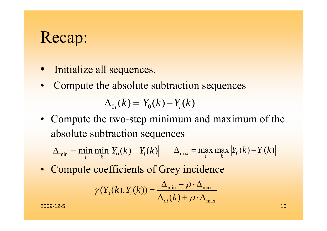### Recap:

- Initialize all sequences.
- •Compute the absolute subtraction sequences

 $\Delta_{0i}(k) = |Y_{0}(k) - Y_{i}(k)|$ 

• Compute the two-step minimum and maximum of the absolute subtraction sequences

 $\Delta_{\min} = \min_{i} \min_{k} |Y_{0}(k) - Y_{i}(k)| \qquad \Delta_{\max} = \max_{i} \max_{k} |Y_{0}(k) - Y_{i}(k)|$ 

• Compute coefficients of Grey incidence

$$
\gamma(Y_0(k), Y_i(k)) = \frac{\Delta_{\min} + \rho \cdot \Delta_{\max}}{\Delta_{oi}(k) + \rho \cdot \Delta_{\max}}
$$

2009-12-5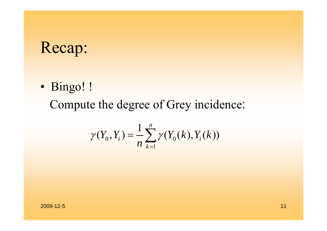### Recap:

• Bingo! !

Compute the degree of Grey incidence:

$$
\gamma(Y_0, Y_i) = \frac{1}{n} \sum_{k=1}^n \gamma(Y_0(k), Y_i(k))
$$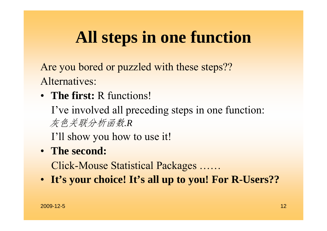## **All steps in one function**

Are you bored or puzzled with these steps?? Alternatives:

• **The first:** R functions!

I've involved all preceding steps in one function: 灰色关联分析函数*.R*

I'll show you how to use it!

• **The second:**

Click-Mouse Statistical Packages ……

• **It's your choice! It's all up to you! For R-Users??**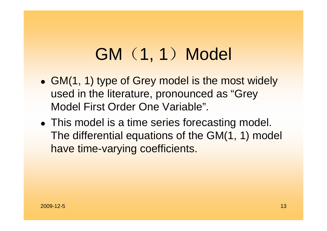## GM (1, 1) Model

- GM(1, 1) type of Grey model is the most widely used in the literature, pronounced as "Grey Model First Order One Variable".
- This model is a time series forecasting model. The differential equations of the GM(1, 1) model have time-varying coefficients.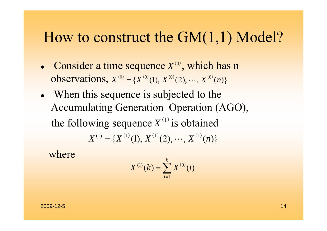#### How to construct the GM(1,1) Model?

- Consider a time sequence  $X^{(0)}$ , which has n **observations,**  $X^{(0)} = \{X^{(0)}(1), X^{(0)}(2), \cdots, X^{(0)}(n)\}$
- When this sequence is subjected to the Accumulating Generation Operation (AGO), the following sequence  $X^{(1)}$  is obtained  $X^{(1)} = {X^{(1)}(1), X^{(1)}(2), \cdots, X^{(1)}(n)}$

where

$$
X^{(1)}(k) = \sum_{i=1}^{k} X^{(0)}(i)
$$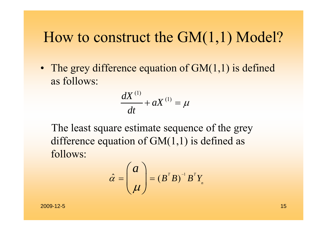### How to construct the GM(1,1) Model?

• The grey difference equation of GM(1,1) is defined as follows:

$$
\frac{dX^{(1)}}{dt} + aX^{(1)} = \mu
$$

The least square estimate sequence of the grey difference equation of  $GM(1,1)$  is defined as follows:

$$
\hat{\alpha} = \begin{pmatrix} a \\ \mu \end{pmatrix} = (B^T B)^{-1} B^T Y_n
$$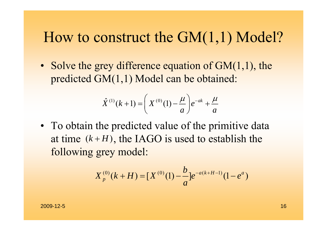#### How to construct the GM(1,1) Model?

• Solve the grey difference equation of GM(1,1), the predicted GM(1,1) Model can be obtained:

$$
\hat{X}^{(1)}(k+1) = \left(X^{(0)}(1) - \frac{\mu}{a}\right)e^{-ak} + \frac{\mu}{a}
$$

• To obtain the predicted value of the primitive data at time  $(k+H)$ , the IAGO is used to establish the following grey model:

$$
X_p^{(0)}(k+H) = [X^{(0)}(1) - \frac{b}{a}]e^{-a(k+H-1)}(1-e^a)
$$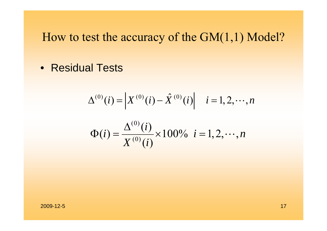• Residual Tests

$$
\Delta^{(0)}(i) = \begin{vmatrix} X^{(0)}(i) - \hat{X}^{(0)}(i) & i = 1, 2, \cdots, n \\ X^{(0)}(i) & X^{(0)}(i) & i = 1, 2, \cdots, n \end{vmatrix}
$$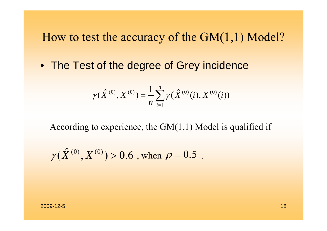• The Test of the degree of Grey incidence

$$
\gamma(\hat{X}^{(0)}, X^{(0)}) = \frac{1}{n} \sum_{i=1}^{n} \gamma(\hat{X}^{(0)}(i), X^{(0)}(i))
$$

According to experience, the  $GM(1,1)$  Model is qualified if

$$
\gamma(\hat{X}^{(0)}, X^{(0)}) > 0.6
$$
, when  $\rho = 0.5$ .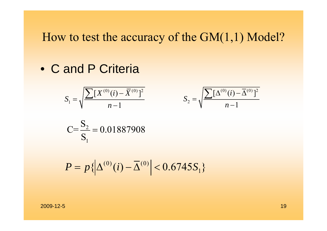• C and P Criteria

$$
S_1 = \sqrt{\frac{\sum [X^{(0)}(i) - \overline{X}^{(0)}]^2}{n-1}}
$$

$$
\frac{\sum [X^{(0)}(i) - \overline{X}^{(0)}]^2}{n-1} \qquad S_2 = \sqrt{\frac{\sum [\Delta^{(0)}(i) - \overline{\Delta}^{(0)}]^2}{n-1}}
$$

$$
C = \frac{S_2}{S_1} = 0.01887908
$$

$$
P = p\{\left|\Delta^{(0)}(i) - \overline{\Delta}^{(0)}\right| < 0.6745S_1\}
$$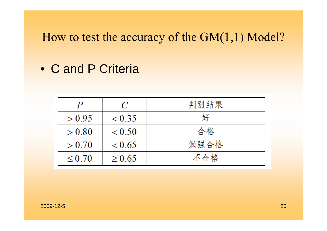• C and P Criteria

|             | C           | 判别结果 |
|-------------|-------------|------|
| > 0.95      | < 0.35      | 好    |
| > 0.80      | < 0.50      | 合格   |
| > 0.70      | < 0.65      | 勉强合格 |
| $\leq 0.70$ | $\geq 0.65$ | 不合格  |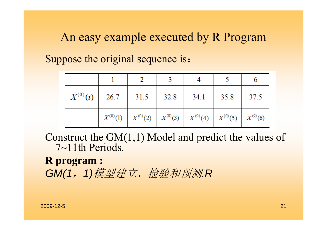An easy example executed by R Program

Suppose the original sequence is:

| $X^{(0)}(i)$ | 26.7 | 31.5 | 32.8 | 34.1                                                                          | 35.8 | $\frac{37.5}{ }$ |
|--------------|------|------|------|-------------------------------------------------------------------------------|------|------------------|
|              |      |      |      | $X^{(0)}(1)$ $X^{(0)}(2)$ $X^{(0)}(3)$ $X^{(0)}(4)$ $X^{(0)}(5)$ $X^{(0)}(6)$ |      |                  |

Construct the GM(1,1) Model and predict the values of 7~11th Periods.

**R program :** *GM(1*,*1)*模型建立、检验和预测*.R*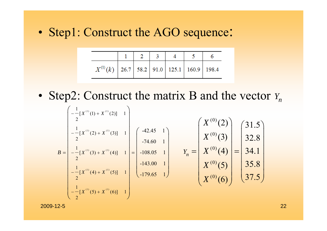• Step1: Construct the AGO sequence:

| $X^{(1)}(k)$   26.7   58.2   91.0   125.1   160.9   198.4 |  |  |  |
|-----------------------------------------------------------|--|--|--|

• Step2: Construct the matrix B and the vector *Y*<sub>n</sub>

$$
B = \begin{bmatrix} -\frac{1}{2}[X^{(1)}(1) + X^{(1)}(2)] & 1 \\ -\frac{1}{2}[X^{(1)}(2) + X^{(1)}(3)] & 1 \\ -\frac{1}{2}[X^{(1)}(3) + X^{(1)}(4)] & 1 \\ -\frac{1}{2}[X^{(1)}(4) + X^{(1)}(5)] & 1 \\ -\frac{1}{2}[X^{(1)}(5) + X^{(1)}(6)] & 1 \end{bmatrix} = \begin{bmatrix} -42.45 & 1 \\ -74.60 & 1 \\ -108.05 & 1 \\ -179.65 & 1 \end{bmatrix} \qquad Y_n = \begin{bmatrix} X^{(0)}(2) \\ X^{(0)}(3) \\ X^{(0)}(4) \\ X^{(0)}(5) \\ X^{(0)}(6) \end{bmatrix} = \begin{bmatrix} 31.5 \\ 32.8 \\ 34.1 \\ 35.8 \\ 37.5 \end{bmatrix}
$$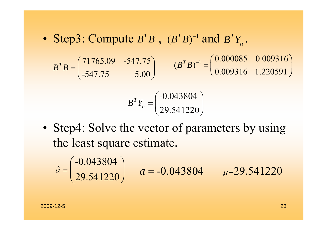• Step3: Compute  $B^T B$ ,  $(B^T B)^{-1}$  and  $B^T Y_n$ .

71765.09 -547.75 -547.75 5.00  $\bm{B}^T\bm{B}$  $B = \begin{pmatrix} 71765.09 & -547.75 \\ -547.75 & 5.00 \end{pmatrix}$   $(B^TB)^{-1} = \begin{pmatrix} 0.000085 & 0.009316 \\ 0.009316 & 1.220591 \end{pmatrix}$ 

$$
B^{T}Y_{n} = \begin{pmatrix} -0.043804 \\ 29.541220 \end{pmatrix}
$$

• Step4: Solve the vector of parameters by using the least square estimate.

$$
\hat{\alpha} = \begin{pmatrix} -0.043804 \\ 29.541220 \end{pmatrix}
$$
  $a = -0.043804$   $\mu = 29.541220$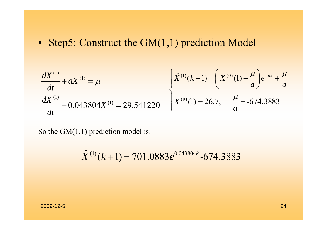• Step5: Construct the GM(1,1) prediction Model

$$
\frac{dX^{(1)}}{dt} + aX^{(1)} = \mu \qquad \qquad \left\{ \begin{aligned} \hat{X}^{(1)}(k+1) &= \left( X^{(0)}(1) - \frac{\mu}{a} \right) e^{-ak} + \frac{\mu}{a} \\ X^{(0)}(1) &= 26.7, \quad \frac{\mu}{a} = -674.3883 \end{aligned} \right.
$$

So the  $GM(1,1)$  prediction model is:

$$
\hat{X}^{(1)}(k+1) = 701.0883e^{0.043804k} - 674.3883
$$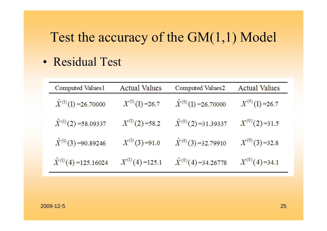#### Test the accuracy of the GM(1,1) Model

• Residual Test

| Computed Values1               | <b>Actual Values</b> | Computed Values2              | <b>Actual Values</b> |
|--------------------------------|----------------------|-------------------------------|----------------------|
| $\hat{X}^{(1)}(1) = 26.70000$  | $X^{(1)}(1)=26.7$    | $\hat{X}^{(0)}(1) = 26.70000$ | $X^{(0)}(1) = 26.7$  |
| $\hat{X}^{(1)}(2) = 58.09337$  | $X^{(1)}(2) = 58.2$  | $\hat{X}^{(0)}(2) = 31.39337$ | $X^{(0)}(2)=31.5$    |
| $\hat{X}^{(1)}(3) = 90.89246$  | $X^{(1)}(3) = 91.0$  | $\hat{X}^{(0)}(3) = 32.79910$ | $X^{(0)}(3)=32.8$    |
| $\hat{X}^{(1)}(4) = 125.16024$ | $X^{(1)}(4) = 125.1$ | $\hat{X}^{(0)}(4) = 34.26778$ | $X^{(0)}(4)=34.1$    |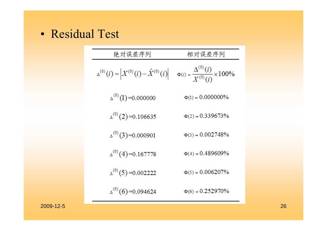• Residual Test

| 绝对误差序列                                                        | 相对误差序列                                                      |
|---------------------------------------------------------------|-------------------------------------------------------------|
| $\Delta^{(0)}(i) = \Big  X^{(0)}(i) - \hat{X}^{(0)}(i) \Big $ | $\Phi(i) = \frac{\Delta^{(0)}(i)}{X^{(0)}(i)} \times 100\%$ |
| $\Delta^{(0)}(1) = 0.000000$                                  | $\Phi(1) = 0.000000\%$                                      |
| $\Delta^{(0)}(2) = 0.106635$                                  | $\Phi(2) = 0.339673\%$                                      |
| $\Delta^{(0)}(3)=0.000901$                                    | $\Phi(3) = 0.002748\%$                                      |
| $\Delta^{(0)}(4) = 0.167778$                                  | $\Phi(4) = 0.489609\%$                                      |
| $\Delta^{(0)}(5) = 0.002222$                                  | $\Phi(5) = 0.006207\%$                                      |
| $\Delta^{(0)}(6) = 0.094624$                                  | $\Phi(6) = 0.252970\%$                                      |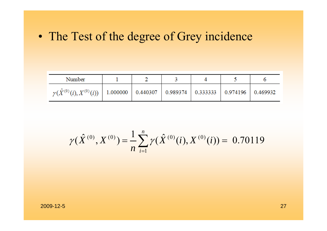• The Test of the degree of Grey incidence

| Number                                                                                                  |  |  |  |
|---------------------------------------------------------------------------------------------------------|--|--|--|
| $\gamma(\hat{X}^{(0)}(i),X^{(0)}(i))$   1.000000   0.440307   0.989374   0.333333   0.974196   0.469932 |  |  |  |

$$
\gamma(\hat{X}^{(0)}, X^{(0)}) = \frac{1}{n} \sum_{i=1}^{n} \gamma(\hat{X}^{(0)}(i), X^{(0)}(i)) = 0.70119
$$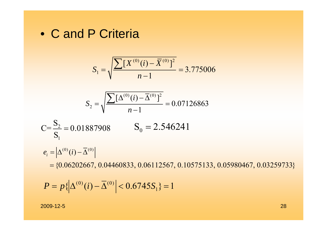• C and P Criteria

$$
S_1 = \sqrt{\frac{\sum [X^{(0)}(i) - \overline{X}^{(0)}]^2}{n-1}} = 3.775006
$$

$$
S_2 = \sqrt{\frac{\sum [\Delta^{(0)}(i) - \overline{\Delta}^{(0)}]^2}{n-1}} = 0.07126863
$$

$$
C = \frac{S_2}{S_1} = 0.01887908 \qquad S_0 = 2.546241
$$

 $e_i = \left| \Delta^{(0)}(i) - \overline{\Delta}^{(0)} \right|$ 

 $=\{0.06202667,\, 0.04460833,\, 0.06112567,\, 0.10575133,\, 0.05980467,\, 0.03259733\}$ 

$$
P = p\{\left|\Delta^{(0)}(i) - \overline{\Delta}^{(0)}\right| < 0.6745S_1\} = 1
$$

2009-12-5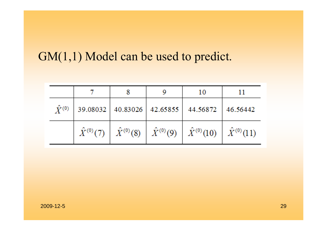#### GM(1,1) Model can be used to predict.

|                 |  | 10                                                                                               |  |
|-----------------|--|--------------------------------------------------------------------------------------------------|--|
| $\hat{Y}^{(0)}$ |  | 39.08032 40.83026 42.65855 44.56872 46.56442                                                     |  |
|                 |  | $\hat{X}^{(0)}(7)$ $\hat{X}^{(0)}(8)$ $\hat{X}^{(0)}(9)$ $\hat{X}^{(0)}(10)$ $\hat{X}^{(0)}(11)$ |  |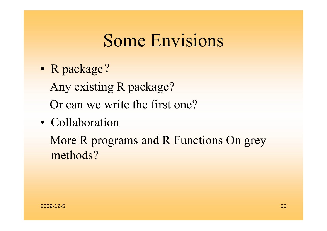## Some Envisions

- • R package? Any existing R package? Or can we write the first one?
- Collaboration

More R programs and R Functions On grey methods?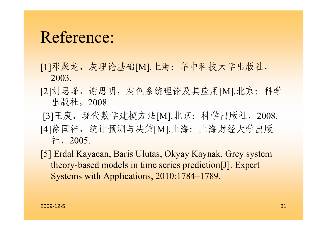### Reference:

- [1]邓聚龙,灰理论基础[M].上海:华中科技大学出版社, 2003.
- [2]刘思峰, 谢思明, 灰色系统理论及其应用[M].北京: 科学 出版社,2008.
- [3]王庚, 现代数学建模方法[M].北京: 科学出版社, 2008. [4]徐国祥, 统计预测与决策[M].上海: 上海财经大学出版 社,2005.
- [5] Erdal Kayacan, Baris Ulutas, Okyay Kaynak, Grey system theory-based models in time series prediction[J]. Expert Systems with Applications, 2010:1784–1789.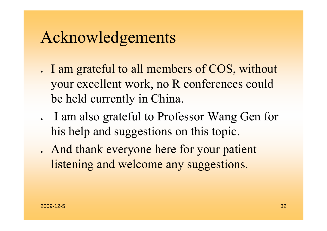### Acknowledgements

- I am grateful to all members of COS, without your excellent work, no R conferences could be held currently in China.
- I am also grateful to Professor Wang Gen for his help and suggestions on this topic.
- . And thank everyone here for your patient listening and welcome any suggestions.